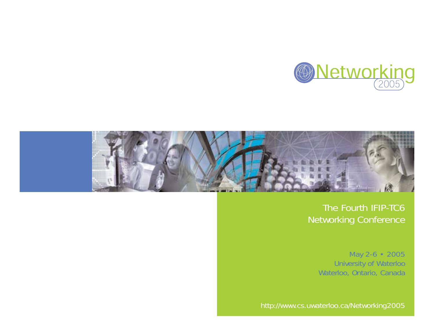



# The Fourth IFIP-TC6 Networking Conference

May 2-6 • 2005 University of Waterloo Waterloo, Ontario, Canada

http://www.cs.uwaterloo.ca/Networking2005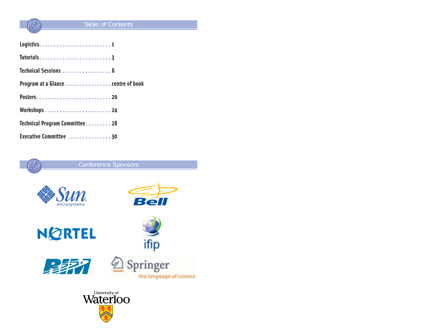

| Tutorials3                         |
|------------------------------------|
| Technical Sessions  6              |
| Program at a Glance centre of book |
|                                    |
| Workshops24                        |
| Technical Program Committee 28     |
| Executive Committee 30             |



Conference Sponsors













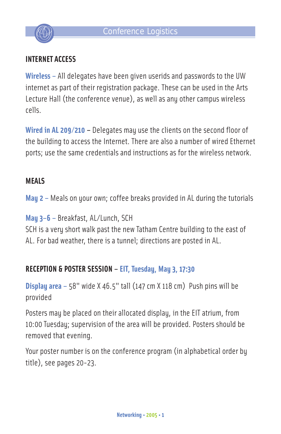



# **INTERNET ACCESS**

**Wireless –** All delegates have been given userids and passwords to the UW internet as part of their registration package. These can be used in the Arts Lecture Hall (the conference venue), as well as any other campus wireless cells.

**Wired in AL 209/210 –** Delegates may use the clients on the second floor of the building to access the Internet. There are also a number of wired Ethernet ports; use the same credentials and instructions as for the wireless network.

# **MEALS**

**May 2 –** Meals on your own; coffee breaks provided in AL during the tutorials

**May 3–6 –** Breakfast, AL/Lunch, SCH

SCH is a very short walk past the new Tatham Centre building to the east of AL. For bad weather, there is a tunnel; directions are posted in AL.

# **RECEPTION & POSTER SESSION – EIT, Tuesday, May 3, 17:30**

**Display area –** 58" wide X 46.5" tall (147 cm X 118 cm) Push pins will be provided

Posters may be placed on their allocated display, in the EIT atrium, from 10:00 Tuesday; supervision of the area will be provided. Posters should be removed that evening.

Your poster number is on the conference program (in alphabetical order by title), see pages 20-23.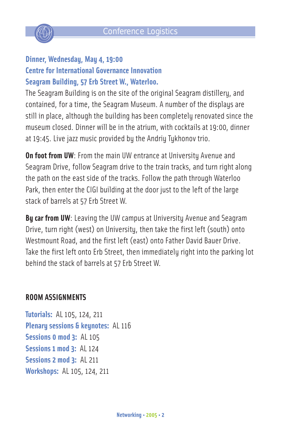

# **Dinner, Wednesday, May 4, 19:00 Centre for International Governance Innovation Seagram Building, 57 Erb Street W., Waterloo.**

The Seagram Building is on the site of the original Seagram distillery, and contained, for a time, the Seagram Museum. A number of the displays are still in place, although the building has been completely renovated since the museum closed. Dinner will be in the atrium, with cocktails at 19:00, dinner at 19:45. Live jazz music provided by the Andriy Tykhonov trio.

**On foot from UW:** From the main UW entrance at University Avenue and Seagram Drive, follow Seagram drive to the train tracks, and turn right along the path on the east side of the tracks. Follow the path through Waterloo Park, then enter the CIGI building at the door just to the left of the large stack of barrels at 57 Erb Street W.

**By car from UW**: Leaving the UW campus at University Avenue and Seagram Drive, turn right (west) on University, then take the first left (south) onto Westmount Road, and the first left (east) onto Father David Bauer Drive. Take the first left onto Erb Street, then immediately right into the parking lot behind the stack of barrels at 57 Erb Street W.

# **ROOM ASSIGNMENTS**

**Tutorials:** AL 105, 124, 211 **Plenary sessions & keynotes:** AL 116 **Sessions 0 mod 3:** AL 105 **Sessions 1 mod 3:** AL 124 **Sessions 2 mod 3:** AL 211 **Workshops:** AL 105, 124, 211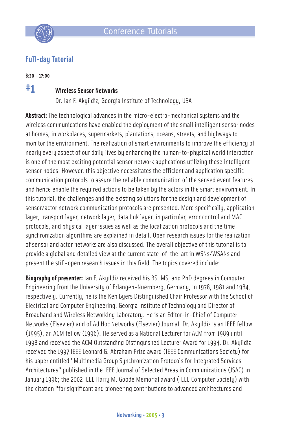

# **Full-day Tutorial**

#### **8:30 – 17:00**

# **#1 Wireless Sensor Networks**

Dr. Ian F. Akyildiz, Georgia Institute of Technology, USA

**Abstract:** The technological advances in the micro-electro-mechanical systems and the wireless communications have enabled the deployment of the small intelligent sensor nodes at homes, in workplaces, supermarkets, plantations, oceans, streets, and highways to monitor the environment. The realization of smart environments to improve the efficiency of nearly every aspect of our daily lives by enhancing the human-to-physical world interaction is one of the most exciting potential sensor network applications utilizing these intelligent sensor nodes. However, this objective necessitates the efficient and application specific communication protocols to assure the reliable communication of the sensed event features and hence enable the required actions to be taken by the actors in the smart environment. In this tutorial, the challenges and the existing solutions for the design and development of sensor/actor network communication protocols are presented. More specifically, application layer, transport layer, network layer, data link layer, in particular, error control and MAC protocols, and physical layer issues as well as the localization protocols and the time synchronization algorithms are explained in detail. Open research issues for the realization of sensor and actor networks are also discussed. The overall objective of this tutorial is to provide a global and detailed view at the current state-of-the-art in WSNs/WSANs and present the still-open research issues in this field. The topics covered include:

**Biography of presenter:** Ian F. Akyildiz received his BS, MS, and PhD degrees in Computer Engineering from the University of Erlangen-Nuernberg, Germany, in 1978, 1981 and 1984, respectively. Currently, he is the Ken Byers Distinguished Chair Professor with the School of Electrical and Computer Engineering, Georgia Institute of Technology and Director of Broadband and Wireless Networking Laboratory. He is an Editor-in-Chief of Computer Networks (Elsevier) and of Ad Hoc Networks (Elsevier) Journal. Dr. Akyildiz is an IEEE fellow (1995), an ACM fellow (1996). He served as a National Lecturer for ACM from 1989 until 1998 and received the ACM Outstanding Distinguished Lecturer Award for 1994. Dr. Akyildiz received the 1997 IEEE Leonard G. Abraham Prize award (IEEE Communications Society) for his paper entitled "Multimedia Group Synchronization Protocols for Integrated Services Architectures" published in the IEEE Journal of Selected Areas in Communications (JSAC) in January 1996; the 2002 IEEE Harry M. Goode Memorial award (IEEE Computer Society) with the citation "for significant and pioneering contributions to advanced architectures and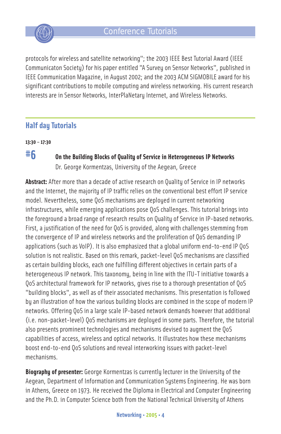

protocols for wireless and satellite networking"; the 2003 IEEE Best Tutorial Award (IEEE Communicaton Society) for his paper entitled "A Survey on Sensor Networks", published in IEEE Communication Magazine, in August 2002; and the 2003 ACM SIGMOBILE award for his significant contributions to mobile computing and wireless networking. His current research interests are in Sensor Networks, InterPlaNetary Internet, and Wireless Networks.

# **Half day Tutorials**

#### **13:30 – 17:30**

# **#6 On the Building Blocks of Quality of Service in Heterogeneous IP Networks** Dr. George Kormentzas, University of the Aegean, Greece

**Abstract:** After more than a decade of active research on Quality of Service in IP networks and the Internet, the majority of IP traffic relies on the conventional best effort IP service model. Nevertheless, some QoS mechanisms are deployed in current networking infrastructures, while emerging applications pose QoS challenges. This tutorial brings into the foreground a broad range of research results on Quality of Service in IP-based networks. First, a justification of the need for QoS is provided, along with challenges stemming from the convergence of IP and wireless networks and the proliferation of QoS demanding IP applications (such as VoIP). It is also emphasized that a global uniform end-to-end IP QoS solution is not realistic. Based on this remark, packet-level QoS mechanisms are classified as certain building blocks, each one fulfilling different objectives in certain parts of a heterogeneous IP network. This taxonomy, being in line with the ITU-T initiative towards a QoS architectural framework for IP networks, gives rise to a thorough presentation of QoS "building blocks", as well as of their associated mechanisms. This presentation is followed by an illustration of how the various building blocks are combined in the scope of modern IP networks. Offering QoS in a large scale IP-based network demands however that additional (i.e. non-packet-level) QoS mechanisms are deployed in some parts. Therefore, the tutorial also presents prominent technologies and mechanisms devised to augment the QoS capabilities of access, wireless and optical networks. It illustrates how these mechanisms boost end-to-end QoS solutions and reveal interworking issues with packet-level mechanisms.

**Biography of presenter:** George Kormentzas is currently lecturer in the University of the Aegean, Department of Information and Communication Systems Engineering. He was born in Athens, Greece on 1973. He received the Diploma in Electrical and Computer Engineering and the Ph.D. in Computer Science both from the National Technical University of Athens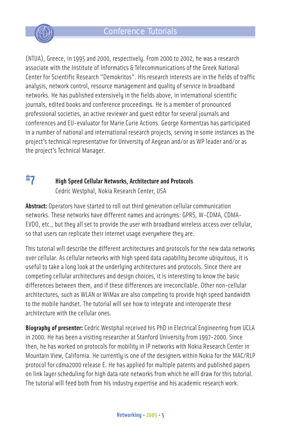

(NTUA), Greece, in 1995 and 2000, respectively. From 2000 to 2002, he was a research associate with the Institute of Informatics & Telecommunications of the Greek National Center for Scientific Research "Demokritos". His research interests are in the fields of traffic analysis, network control, resource management and quality of service in broadband networks. He has published extensively in the fields above, in international scientific journals, edited books and conference proceedings. He is a member of pronounced professional societies, an active reviewer and guest editor for several journals and conferences and EU-evaluator for Marie Curie Actions. George Kormentzas has participated in a number of national and international research projects, serving in some instances as the project's technical representative for University of Aegean and/or as WP leader and/or as the project's Technical Manager.

# **#7 High Speed Cellular Networks, Architecture and Protocols**

Cedric Westphal, Nokia Research Center, USA

**Abstract:** Operators have started to roll out third generation cellular communication networks. These networks have different names and acronyms: GPRS, W-CDMA, CDMA-EVDO, etc., but they all set to provide the user with broadband wireless access over cellular, so that users can replicate their internet usage everywhere they are.

This tutorial will describe the different architectures and protocols for the new data networks over cellular. As cellular networks with high speed data capability become ubiquitous, it is useful to take a long look at the underlying architectures and protocols. Since there are competing cellular architectures and design choices, it is interesting to know the basic differences between them, and if these differences are irreconcilable. Other non-cellular architectures, such as WLAN or WiMax are also competing to provide high speed bandwidth to the mobile handset. The tutorial will see how to integrate and interoperate these architecture with the cellular ones.

**Biography of presenter:** Cedric Westphal received his PhD in Electrical Engineering from UCLA in 2000. He has been a visiting researcher at Stanford University from 1997-2000. Since then, he has worked on protocols for mobility in IP networks with Nokia Research Center in Mountain View, California. He currently is one of the designers within Nokia for the MAC/RLP protocol for cdma2000 release E. He has applied for multiple patents and published papers on link layer scheduling for high data rate networks from which he will draw for this tutorial. The tutorial will feed both from his industry expertise and his academic research work.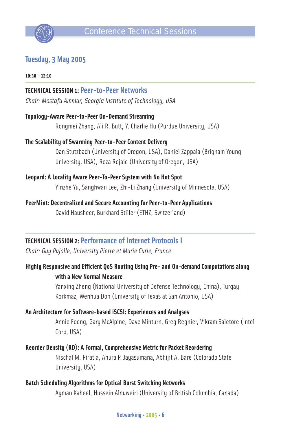

# **Tuesday, 3 May 2005**

#### **10:30 – 12:10**

# **TECHNICAL SESSION 1: Peer-to-Peer Networks**

*Chair: Mostafa Ammar, Georgia Institute of Technology, USA*

#### **Topology-Aware Peer-to-Peer On-Demand Streaming**

Rongmei Zhang, Ali R. Butt, Y. Charlie Hu (Purdue University, USA)

#### **The Scalability of Swarming Peer-to-Peer Content Delivery**

Dan Stutzbach (University of Oregon, USA), Daniel Zappala (Brigham Young University, USA), Reza Rejaie (University of Oregon, USA)

#### **Leopard: A Locality Aware Peer-To-Peer System with No Hot Spot**

Yinzhe Yu, Sanghwan Lee, Zhi-Li Zhang (University of Minnesota, USA)

#### **PeerMint: Decentralized and Secure Accounting for Peer-to-Peer Applications**

David Hausheer, Burkhard Stiller (ETHZ, Switzerland)

#### **TECHNICAL SESSION 2: Performance of Internet Protocols I**

*Chair: Guy Pujolle, University Pierre et Marie Curie, France*

## **Highly Responsive and Efficient QoS Routing Using Pre- and On-demand Computations along with a New Normal Measure**

Yanxing Zheng (National University of Defense Technology, China), Turgay Korkmaz, Wenhua Don (University of Texas at San Antonio, USA)

#### **An Architecture for Software-based iSCSI: Experiences and Analyses**

Annie Foong, Gary McAlpine, Dave Minturn, Greg Regnier, Vikram Saletore (Intel Corp, USA)

#### **Reorder Density (RD): A Formal, Comprehensive Metric for Packet Reordering**

Nischal M. Piratla, Anura P. Jayasumana, Abhijit A. Bare (Colorado State University, USA)

#### **Batch Scheduling Algorithms for Optical Burst Switching Networks**

Ayman Kaheel, Hussein Alnuweiri (University of British Columbia, Canada)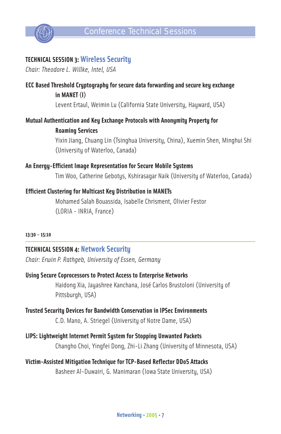

# **TECHNICAL SESSION 3: Wireless Security**

*Chair: Theodore L. Willke, Intel, USA*

## **ECC Based Threshold Cryptography for secure data forwarding and secure key exchange in MANET (I)**

Levent Ertaul, Weimin Lu (California State University, Hayward, USA)

#### **Mutual Authentication and Key Exchange Protocols with Anonymity Property for Roaming Services**

Yixin Jiang, Chuang Lin (Tsinghua University, China), Xuemin Shen, Minghui Shi (University of Waterloo, Canada)

#### **An Energy-Efficient Image Representation for Secure Mobile Systems**

Tim Woo, Catherine Gebotys, Kshirasagar Naik (University of Waterloo, Canada)

#### **Efficient Clustering for Multicast Key Distribution in MANETs**

Mohamed Salah Bouassida, Isabelle Chrisment, Olivier Festor (LORIA - INRIA, France)

**13:30 – 15:10**

#### **TECHNICAL SESSION 4: Network Security** *Chair: Erwin P. Rathgeb, University of Essen, Germany*

#### **Using Secure Coprocessors to Protect Access to Enterprise Networks**

Haidong Xia, Jayashree Kanchana, José Carlos Brustoloni (University of Pittsburgh, USA)

#### **Trusted Security Devices for Bandwidth Conservation in IPSec Environments**

C.D. Mano, A. Striegel (University of Notre Dame, USA)

#### **LIPS: Lightweight Internet Permit System for Stopping Unwanted Packets**

Changho Choi, Yingfei Dong, Zhi-Li Zhang (University of Minnesota, USA)

#### **Victim-Assisted Mitigation Technique for TCP-Based Reflector DDoS Attacks**

Basheer Al-Duwairi, G. Manimaran (Iowa State University, USA)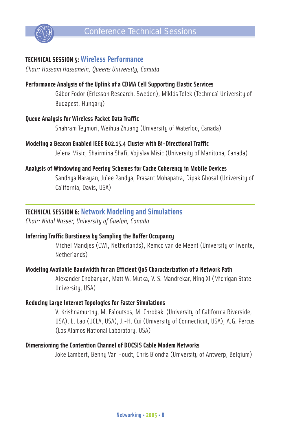

# **TECHNICAL SESSION 5: Wireless Performance**

*Chair: Hossam Hassanein, Queens University, Canada*

#### **Performance Analysis of the Uplink of a CDMA Cell Supporting Elastic Services**

Gábor Fodor (Ericsson Research, Sweden), Miklós Telek (Technical University of Budapest, Hungary)

#### **Queue Analysis for Wireless Packet Data Traffic**

Shahram Teymori, Weihua Zhuang (University of Waterloo, Canada)

#### **Modeling a Beacon Enabled IEEE 802.15.4 Cluster with Bi-Directional Traffic**

Jelena Misic, Shairmina Shafi, Vojislav Misic (University of Manitoba, Canada)

#### **Analysis of Windowing and Peering Schemes for Cache Coherency in Mobile Devices**

Sandhya Narayan, Julee Pandya, Prasant Mohapatra, Dipak Ghosal (University of California, Davis, USA)

# **TECHNICAL SESSION 6: Network Modeling and Simulations**

*Chair: Nidal Nasser, University of Guelph, Canada*

#### **Inferring Traffic Burstiness by Sampling the Buffer Occupancy**

Michel Mandjes (CWI, Netherlands), Remco van de Meent (University of Twente, Netherlands)

#### **Modeling Available Bandwidth for an Efficient QoS Characterization of a Network Path**

Alexander Chobanyan, Matt W. Mutka, V. S. Mandrekar, Ning Xi (Michigan State University, USA)

#### **Reducing Large Internet Topologies for Faster Simulations**

V. Krishnamurthy, M. Faloutsos, M. Chrobak (University of California Riverside, USA), L. Lao (UCLA, USA), J.-H. Cui (University of Connecticut, USA), A.G. Percus (Los Alamos National Laboratory, USA)

#### **Dimensioning the Contention Channel of DOCSIS Cable Modem Networks**

Joke Lambert, Benny Van Houdt, Chris Blondia (University of Antwerp, Belgium)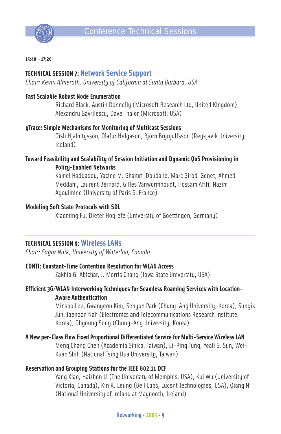

#### **15:40 – 17:20**

#### **TECHNICAL SESSION 7: Network Service Support**

*Chair: Kevin Almeroth, University of California at Santa Barbara, USA*

#### **Fast Scalable Robust Node Enumeration**

Richard Black, Austin Donnelly (Microsoft Research Ltd, United Kingdom), Alexandru Gavrilescu, Dave Thaler (Microsoft, USA)

#### **gTrace: Simple Mechanisms for Monitoring of Multicast Sessions**

Gisli Hjalmtysson, Olafur Helgason, Bjorn Brynjulfsson (Reykjavik University, Iceland)

#### **Toward Feasibility and Scalability of Session Initiation and Dynamic QoS Provisioning in Policy-Enabled Networks**

Kamel Haddadou, Yacine M. Ghamri-Doudane, Marc Girod-Genet, Ahmed Meddahi, Laurent Bernard, Gilles Vanwormhoudt, Hossam Afifi, Nazim Agoulmine (University of Paris 6, France)

#### **Modeling Soft State Protocols with SDL**

Xiaoming Fu, Dieter Hogrefe (University of Goettingen, Germany)

#### **TECHNICAL SESSION 9: Wireless LANs**

*Chair: Sagar Naik, University of Waterloo, Canada*

#### **CONTI: Constant-Time Contention Resolution for WLAN Access**

Zakhia G. Abichar, J. Morris Chang (Iowa State University, USA)

#### **Efficient 3G/WLAN Interworking Techniques for Seamless Roaming Services with Location-Aware Authentication**

Minsoo Lee, Gwanyeon Kim, Sehyun Park (Chung-Ang University, Korea), Sungik Jun, Jaehoon Nah (Electronics and Telecommunications Research Institute, Korea), Ohyoung Song (Chung-Ang University, Korea)

#### **A New per-Class Flow Fixed Proportional Differentiated Service for Multi-Service Wireless LAN**

Meng Chang Chen (Academia Sinica, Taiwan), Li-Ping Tung, Yeali S. Sun, Wei-Kuan Shih (National Tsing Hua University, Taiwan)

#### **Reservation and Grouping Stations for the IEEE 802.11 DCF**

Yang Xiao, Haizhon Li (The University of Memphis, USA), Kui Wu (University of Victoria, Canada), Kin K. Leung (Bell Labs, Lucent Technologies, USA), Qiang Ni (National University of Ireland at Maynooth, Ireland)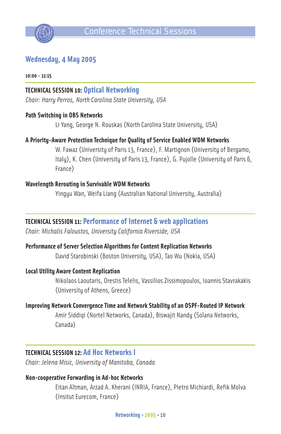

# **Wednesday, 4 May 2005**

**10:00 – 11:15**

#### **TECHNICAL SESSION 10: Optical Networking**

*Chair: Harry Perros, North Carolina State University, USA* 

#### **Path Switching in OBS Networks**

Li Yang, George N. Rouskas (North Carolina State University, USA)

#### **A Priority-Aware Protection Technique for Quality of Service Enabled WDM Networks**

W. Fawaz (University of Paris 13, France), F. Martignon (University of Bergamo, Italy), K. Chen (University of Paris 13, France), G. Pujolle (University of Paris 6, France)

#### **Wavelength Rerouting in Survivable WDM Networks**

Yingyu Wan, Weifa Liang (Australian National University, Australia)

#### **TECHNICAL SESSION 11: Performance of Internet & web applications**

*Chair: Michalis Faloustos, University California Riverside, USA*

#### **Performance of Server Selection Algorithms for Content Replication Networks**

David Starobinski (Boston University, USA), Tao Wu (Nokia, USA)

#### **Local Utility Aware Content Replication**

Nikolaos Laoutaris, Orestis Telelis, Vassilios Zissimopoulos, Ioannis Stavrakakis (University of Athens, Greece)

#### **Improving Network Convergence Time and Network Stability of an OSPF-Routed IP Network**

Amir Siddiqi (Nortel Networks, Canada), Biswajit Nandy (Solana Networks, Canada)

# **TECHNICAL SESSION 12: Ad Hoc Networks I**

*Chair: Jelena Misic, University of Manitoba, Canada*

#### **Non-cooperative Forwarding in Ad-hoc Networks**

Eitan Altman, Arzad A. Kherani (INRIA, France), Pietro Michiardi, Refik Molva (Insitut Eurecom, France)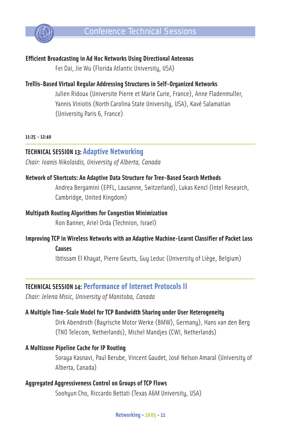

#### **Efficient Broadcasting in Ad Hoc Networks Using Directional Antennas**

Fei Dai, Jie Wu (Florida Atlantic University, USA)

#### **Trellis-Based Virtual Regular Addressing Structures in Self-Organized Networks**

Julien Ridoux (Universite Pierre et Marie Curie, France), Anne Fladenmuller, Yannis Viniotis (North Carolina State University, USA), Kavé Salamatian (University Paris 6, France)

**11:25 – 12:40**

#### **TECHNICAL SESSION 13: Adaptive Networking**

*Chair: Ioanis Nikolaidis, University of Alberta, Canada*

#### **Network of Shortcuts: An Adaptive Data Structure for Tree-Based Search Methods**

Andrea Bergamini (EPFL, Lausanne, Switzerland), Lukas Kencl (Intel Research, Cambridge, United Kingdom)

#### **Multipath Routing Algorithms for Congestion Minimization**

Ron Banner, Ariel Orda (Technion, Israel)

## **Improving TCP in Wireless Networks with an Adaptive Machine-Learnt Classifier of Packet Loss Causes**

Ibtissam El Khayat, Pierre Geurts, Guy Leduc (University of Liège, Belgium)

# **TECHNICAL SESSION 14: Performance of Internet Protocols II**

*Chair: Jelena Misic, University of Manitoba, Canada*

#### **A Multiple Time-Scale Model for TCP Bandwidth Sharing under User Heterogeneity**

Dirk Abendroth (Bayrische Motor Werke (BMW), Germany), Hans van den Berg (TNO Telecom, Netherlands), Michel Mandjes (CWI, Netherlands)

#### **A Multizone Pipeline Cache for IP Routing**

Soraya Kasnavi, Paul Berube, Vincent Gaudet, José Nelson Amaral (University of Alberta, Canada)

#### **Aggregated Aggressiveness Control on Groups of TCP Flows**

Soohyun Cho, Riccardo Bettati (Texas A&M University, USA)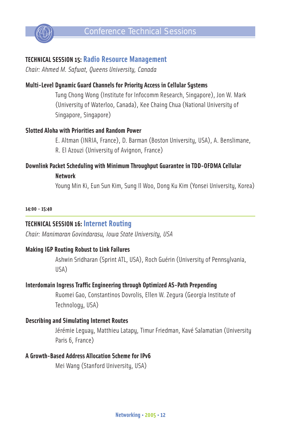

# **TECHNICAL SESSION 15: Radio Resource Management**

*Chair: Ahmed M. Safwat, Queens University, Canada* 

#### **Multi-Level Dynamic Guard Channels for Priority Access in Cellular Systems**

Tung Chong Wong (Institute for Infocomm Research, Singapore), Jon W. Mark (University of Waterloo, Canada), Kee Chaing Chua (National University of Singapore, Singapore)

#### **Slotted Aloha with Priorities and Random Power**

E. Altman (INRIA, France), D. Barman (Boston University, USA), A. Benslimane, R. El Azouzi (University of Avignon, France)

#### **Downlink Packet Scheduling with Minimum Throughput Guarantee in TDD-OFDMA Cellular Network**

Young Min Ki, Eun Sun Kim, Sung Il Woo, Dong Ku Kim (Yonsei University, Korea)

#### **14:00 – 15:40**

#### **TECHNICAL SESSION 16: Internet Routing**

*Chair: Manimaran Govindarasu, Iowa State University, USA*

#### **Making IGP Routing Robust to Link Failures**

Ashwin Sridharan (Sprint ATL, USA), Roch Guérin (University of Pennsylvania, USA)

#### **Interdomain Ingress Traffic Engineering through Optimized AS-Path Prepending**

Ruomei Gao, Constantinos Dovrolis, Ellen W. Zegura (Georgia Institute of Technology, USA)

#### **Describing and Simulating Internet Routes**

Jérémie Leguay, Matthieu Latapy, Timur Friedman, Kavé Salamatian (University Paris 6, France)

#### **A Growth-Based Address Allocation Scheme for IPv6**

Mei Wang (Stanford University, USA)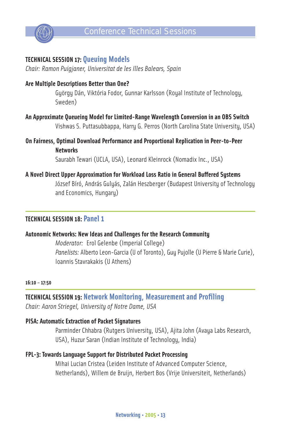

# **TECHNICAL SESSION 17: Queuing Models**

*Chair: Ramon Puigjaner, Universitat de les Illes Balears, Spain*

#### **Are Multiple Descriptions Better than One?**

György Dán, Viktória Fodor, Gunnar Karlsson (Royal Institute of Technology, Sweden)

**An Approximate Queueing Model for Limited-Range Wavelength Conversion in an OBS Switch**

Vishwas S. Puttasubbappa, Harry G. Perros (North Carolina State University, USA)

**On Fairness, Optimal Download Performance and Proportional Replication in Peer-to-Peer Networks**

Saurabh Tewari (UCLA, USA), Leonard Kleinrock (Nomadix Inc., USA)

**A Novel Direct Upper Approximation for Workload Loss Ratio in General Buffered Systems**

József Bíró, András Gulyás, Zalán Heszberger (Budapest University of Technology and Economics, Hungary)

#### **TECHNICAL SESSION 18: Panel 1**

#### **Autonomic Networks: New Ideas and Challenges for the Research Community**

*Moderator:* Erol Gelenbe (Imperial College) *Panelists:* Alberto Leon-Garcia (U of Toronto), Guy Pujolle (U Pierre & Marie Curie), Ioannis Stavrakakis (U Athens)

#### **16:10 – 17:50**

#### **TECHNICAL SESSION 19: Network Monitoring, Measurement and Profiling** *Chair: Aaron Striegel, University of Notre Dame, USA*

# **PISA: Automatic Extraction of Packet Signatures**

Parminder Chhabra (Rutgers University, USA), Ajita John (Avaya Labs Research, USA), Huzur Saran (Indian Institute of Technology, India)

#### **FPL-3: Towards Language Support for Distributed Packet Processing**

Mihai Lucian Cristea (Leiden Institute of Advanced Computer Science, Netherlands), Willem de Bruijn, Herbert Bos (Vrije Universiteit, Netherlands)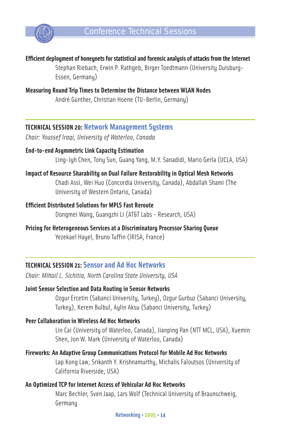

#### **Efficient deployment of honeynets for statistical and forensic analysis of attacks from the Internet**

Stephan Riebach, Erwin P. Rathgeb, Birger Toedtmann (University Duisburg-Essen, Germany)

**Measuring Round Trip Times to Determine the Distance between WLAN Nodes** André Günther, Christian Hoene (TU-Berlin, Germany)

#### **TECHNICAL SESSION 20: Network Management Systems**

*Chair: Youssef Iraqi, University of Waterloo, Canada*

**End-to-end Asymmetric Link Capacity Estimation** Ling-Jyh Chen, Tony Sun, Guang Yang, M.Y. Sanadidi, Mario Gerla (UCLA, USA)

**Impact of Resource Sharability on Dual Failure Restorability in Optical Mesh Networks** Chadi Assi, Wei Huo (Concordia University, Canada), Abdallah Shami (The University of Western Ontario, Canada)

**Efficient Distributed Solutions for MPLS Fast Reroute** Dongmei Wang, Guangzhi Li (AT&T Labs - Research, USA)

**Pricing for Heterogeneous Services at a Discriminatory Processor Sharing Queue** Yezekael Hayel, Bruno Tuffin (IRISA, France)

**TECHNICAL SESSION 21: Sensor and Ad Hoc Networks** 

*Chair: Mihail L. Sichitia, North Carolina State University, USA*

#### **Joint Sensor Selection and Data Routing in Sensor Networks**

Ozgur Ercetin (Sabanci University, Turkey), Ozgur Gurbuz (Sabanci University, Turkey), Kerem Bulbul, Aylin Aksu (Sabanci University, Turkey)

#### **Peer Collaboration in Wireless Ad Hoc Networks**

Lin Cai (University of Waterloo, Canada), Jianping Pan (NTT MCL, USA), Xuemin Shen, Jon W. Mark (University of Waterloo, Canada)

**Fireworks: An Adaptive Group Communications Protocol for Mobile Ad Hoc Networks**

Lap Kong Law, Srikanth Y. Krishnamurthy, Michalis Faloutsos (University of California Riverside, USA)

#### **An Optimized TCP for Internet Access of Vehicular Ad Hoc Networks**

Marc Bechler, Sven Jaap, Lars Wolf (Technical University of Braunschweig, **Germanu**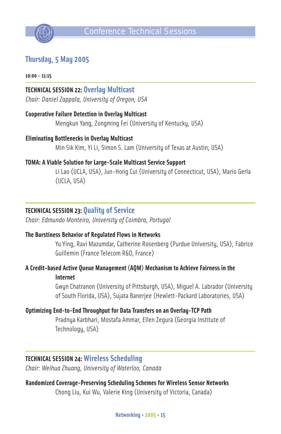

# **Thursday, 5 May 2005**

**10:00 – 11:15**

#### **TECHNICAL SESSION 22: Overlay Multicast**

*Chair: Daniel Zappala, University of Oregon, USA*

#### **Cooperative Failure Detection in Overlay Multicast**

Mengkun Yang, Zongming Fei (University of Kentucky, USA)

#### **Eliminating Bottlenecks in Overlay Multicast**

Min Sik Kim, Yi Li, Simon S. Lam (University of Texas at Austin, USA)

#### **TOMA: A Viable Solution for Large-Scale Multicast Service Support**

Li Lao (UCLA, USA), Jun-Hong Cui (University of Connecticut, USA), Mario Gerla (UCLA, USA)

#### **TECHNICAL SESSION 23: Quality of Service**

*Chair: Edmundo Monteiro, University of Coimbra, Portugal*

#### **The Burstiness Behavior of Regulated Flows in Networks**

Yu Ying, Ravi Mazumdar, Catherine Rosenberg (Purdue University, USA), Fabrice Guillemin (France Telecom R&D, France)

#### **A Credit-based Active Queue Management (AQM) Mechanism to Achieve Fairness in the Internet**

Gwyn Chatranon (University of Pittsburgh, USA), Miguel A. Labrador (University of South Florida, USA), Sujata Banerjee (Hewlett-Packard Laboratories, USA)

#### **Optimizing End-to-End Throughput for Data Transfers on an Overlay-TCP Path**

Pradnya Karbhari, Mostafa Ammar, Ellen Zegura (Georgia Institute of Technology, USA)

#### **TECHNICAL SESSION 24: Wireless Scheduling**

*Chair: Weihua Zhuang, University of Waterloo, Canada*

#### **Randomized Coverage-Preserving Scheduling Schemes for Wireless Sensor Networks**

Chong Liu, Kui Wu, Valerie King (University of Victoria, Canada)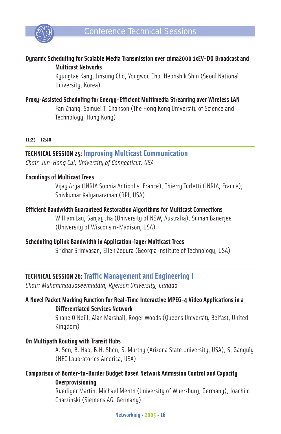

#### **Dynamic Scheduling for Scalable Media Transmission over cdma2000 1xEV-DO Broadcast and Multicast Networks**

Kyungtae Kang, Jinsung Cho, Yongwoo Cho, Heonshik Shin (Seoul National University, Korea)

**Proxy-Assisted Scheduling for Energy-Efficient Multimedia Streaming over Wireless LAN** Fan Zhang, Samuel T. Chanson (The Hong Kong University of Science and Technology, Hong Kong)

**11:25 – 12:40**

# **TECHNICAL SESSION 25: Improving Multicast Communication**

*Chair: Jun-Hong Cui, University of Connecticut, USA*

#### **Encodings of Multicast Trees**

Vijay Arya (INRIA Sophia Antipolis, France), Thierry Turletti (INRIA, France), Shivkumar Kalyanaraman (RPI, USA)

#### **Efficient Bandwidth Guaranteed Restoration Algorithms for Multicast Connections**

William Lau, Sanjay Jha (University of NSW, Australia), Suman Banerjee (University of Wisconsin-Madison, USA)

#### **Scheduling Uplink Bandwidth in Application-layer Multicast Trees**

Sridhar Srinivasan, Ellen Zegura (Georgia Institute of Technology, USA)

#### **TECHNICAL SESSION 26: Traffic Management and Engineering I**

*Chair: Muhammad Jaseemuddin, Ryerson University, Canada*

## **A Novel Packet Marking Function for Real-Time Interactive MPEG-4 Video Applications in a Differentiated Services Network**

Shane O'Neill, Alan Marshall, Roger Woods (Queens University Belfast, United Kingdom)

#### **On Multipath Routing with Transit Hubs**

A. Sen, B. Hao, B.H. Shen, S. Murthy (Arizona State University, USA), S. Ganguly (NEC Laboratories America, USA)

#### **Comparison of Border-to-Border Budget Based Network Admission Control and Capacity Overprovisioning**

Ruediger Martin, Michael Menth (University of Wuerzburg, Germany), Joachim Charzinski (Siemens AG, Germany)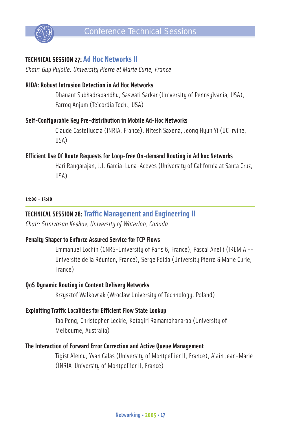

# **TECHNICAL SESSION 27: Ad Hoc Networks II**

*Chair: Guy Pujolle, University Pierre et Marie Curie, France*

#### **RIDA: Robust Intrusion Detection in Ad Hoc Networks**

Dhanant Subhadrabandhu, Saswati Sarkar (University of Pennsylvania, USA), Farroq Anjum (Telcordia Tech., USA)

#### **Self-Configurable Key Pre-distribution in Mobile Ad-Hoc Networks**

Claude Castelluccia (INRIA, France), Nitesh Saxena, Jeong Hyun Yi (UC Irvine,  $IISA$ )

#### **Efficient Use Of Route Requests for Loop-free On-demand Routing in Ad hoc Networks**

Hari Rangarajan, J.J. Garcia-Luna-Aceves (University of California at Santa Cruz, USA)

#### **14:00 – 15:40**

#### **TECHNICAL SESSION 28: Traffic Management and Engineering II**

*Chair: Srinivasan Keshav, University of Waterloo, Canada*

#### **Penalty Shaper to Enforce Assured Service for TCP Flows**

Emmanuel Lochin (CNRS-University of Paris 6, France), Pascal Anelli (IREMIA -- Université de la Réunion, France), Serge Fdida (University Pierre & Marie Curie, France)

#### **QoS Dynamic Routing in Content Delivery Networks**

Krzysztof Walkowiak (Wroclaw University of Technology, Poland)

#### **Exploiting Traffic Localities for Efficient Flow State Lookup**

Tao Peng, Christopher Leckie, Kotagiri Ramamohanarao (University of Melbourne, Australia)

#### **The Interaction of Forward Error Correction and Active Queue Management**

Tigist Alemu, Yvan Calas (University of Montpellier II, France), Alain Jean-Marie (INRIA-University of Montpellier II, France)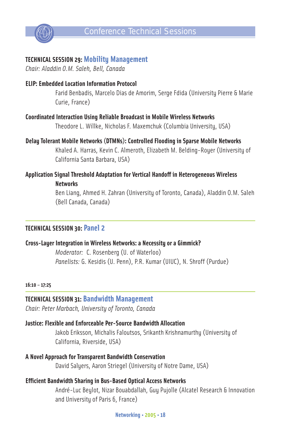

# **TECHNICAL SESSION 29: Mobility Management**

*Chair: Aladdin O.M. Saleh, Bell, Canada*

#### **ELIP: Embedded Location Information Protocol**

Farid Benbadis, Marcelo Dias de Amorim, Serge Fdida (University Pierre & Marie Curie, France)

#### **Coordinated Interaction Using Reliable Broadcast in Mobile Wireless Networks**

Theodore L. Willke, Nicholas F. Maxemchuk (Columbia University, USA)

# **Delay Tolerant Mobile Networks (DTMNs): Controlled Flooding in Sparse Mobile Networks**

Khaled A. Harras, Kevin C. Almeroth, Elizabeth M. Belding-Royer (University of California Santa Barbara, USA)

#### **Application Signal Threshold Adaptation for Vertical Handoff in Heterogeneous Wireless Networks**

Ben Liang, Ahmed H. Zahran (University of Toronto, Canada), Aladdin O.M. Saleh (Bell Canada, Canada)

#### **TECHNICAL SESSION 30: Panel 2**

#### **Cross-Layer Integration in Wireless Networks: a Necessity or a Gimmick?**

*Moderator:* C. Rosenberg (U. of Waterloo) *Panelists:* G. Kesidis (U. Penn), P.R. Kumar (UIUC), N. Shroff (Purdue)

#### **16:10 – 17:25**

#### **TECHNICAL SESSION 31: Bandwidth Management**

*Chair: Peter Marbach, University of Toronto, Canada*

#### **Justice: Flexible and Enforceable Per-Source Bandwidth Allocation**

Jakob Eriksson, Michalis Faloutsos, Srikanth Krishnamurthy (University of California, Riverside, USA)

#### **A Novel Approach for Transparent Bandwidth Conservation**

David Salyers, Aaron Striegel (University of Notre Dame, USA)

#### **Efficient Bandwidth Sharing in Bus-Based Optical Access Networks**

André-Luc Beylot, Nizar Bouabdallah, Guy Pujolle (Alcatel Research & Innovation and University of Paris 6, France)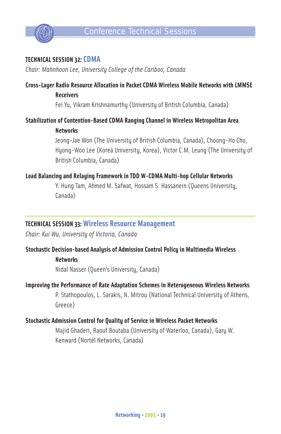#### **TECHNICAL SESSION 32: CDMA**

*Chair: Mahnhoon Lee, University College of the Cariboo, Canada*

## **Cross-Layer Radio Resource Allocation in Packet CDMA Wireless Mobile Networks with LMMSE Receivers**

Fei Yu, Vikram Krishnamurthy (University of British Columbia, Canada)

**Stabilization of Contention-Based CDMA Ranging Channel in Wireless Metropolitan Area Networks**

> Jeong-Jae Won (The University of British Columbia, Canada), Choong-Ho Cho, Hyong-Woo Lee (Korea University, Korea), Victor C.M. Leung (The University of British Columbia, Canada)

#### **Load Balancing and Relaying Framework in TDD W-CDMA Multi-hop Cellular Networks**

Y. Hung Tam, Ahmed M. Safwat, Hossam S. Hassanein (Queens University, Canada)

**TECHNICAL SESSION 33: Wireless Resource Management**

*Chair: Kui Wu, University of Victoria, Canada*

#### **Stochastic Decision-based Analysis of Admission Control Policy in Multimedia Wireless Networks**

Nidal Nasser (Queen's University, Canada)

#### **Improving the Performance of Rate Adaptation Schemes in Heterogeneous Wireless Networks**

P. Stathopoulos, L. Sarakis, N. Mitrou (National Technical University of Athens, Greece)

#### **Stochastic Admission Control for Quality of Service in Wireless Packet Networks**

Majid Ghaderi, Raouf Boutaba (University of Waterloo, Canada), Gary W. Kenward (Nortel Networks, Canada)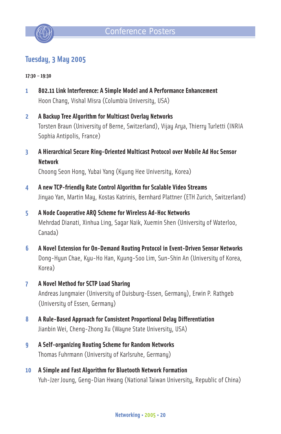

# **Tuesday, 3 May 2005**

**17:30 – 19:30**

- **1 802.11 Link Interference: A Simple Model and A Performance Enhancement** Hoon Chang, Vishal Misra (Columbia University, USA)
- **2 A Backup Tree Algorithm for Multicast Overlay Networks** Torsten Braun (University of Berne, Switzerland), Vijay Arya, Thierry Turletti (INRIA Sophia Antipolis, France)
- **3 A Hierarchical Secure Ring-Oriented Multicast Protocol over Mobile Ad Hoc Sensor Network**

Choong Seon Hong, Yubai Yang (Kyung Hee University, Korea)

- **4 A new TCP-friendly Rate Control Algorithm for Scalable Video Streams** Jinyao Yan, Martin May, Kostas Katrinis, Bernhard Plattner (ETH Zurich, Switzerland)
- **5 A Node Cooperative ARQ Scheme for Wireless Ad-Hoc Networks** Mehrdad Dianati, Xinhua Ling, Sagar Naik, Xuemin Shen (University of Waterloo, Canada)
- **6 A Novel Extension for On-Demand Routing Protocol in Event-Driven Sensor Networks** Dong-Hyun Chae, Kyu-Ho Han, Kyung-Soo Lim, Sun-Shin An (University of Korea, Korea)
- **7 A Novel Method for SCTP Load Sharing** Andreas Jungmaier (University of Duisburg-Essen, Germany), Erwin P. Rathgeb (University of Essen, Germany)
- **8 A Rule-Based Approach for Consistent Proportional Delay Differentiation** Jianbin Wei, Cheng-Zhong Xu (Wayne State University, USA)
- **9 A Self-organizing Routing Scheme for Random Networks** Thomas Fuhrmann (University of Karlsruhe, Germany)
- **10 A Simple and Fast Algorithm for Bluetooth Network Formation** Yuh-Jzer Joung, Geng-Dian Hwang (National Taiwan University, Republic of China)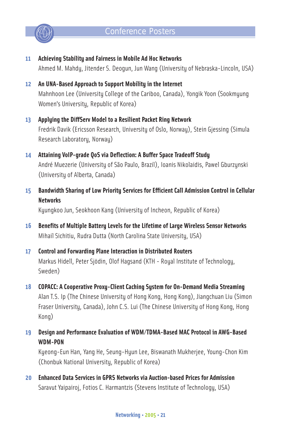

- **11 Achieving Stability and Fairness in Mobile Ad Hoc Networks** Ahmed M. Mahdy, Jitender S. Deogun, Jun Wang (University of Nebraska-Lincoln, USA)
- **12 An UNA-Based Approach to Support Mobility in the Internet** Mahnhoon Lee (University College of the Cariboo, Canada), Yongik Yoon (Sookmyung Women's University, Republic of Korea)
- **13 Applying the DiffServ Model to a Resilient Packet Ring Network** Fredrik Davik (Ericsson Research, University of Oslo, Norway), Stein Gjessing (Simula Research Laboratory, Norway)
- **14 Attaining VoIP-grade QoS via Deflection: A Buffer Space Tradeoff Study** André Muezerie (University of São Paulo, Brazil), Ioanis Nikolaidis, Pawel Gburzynski (University of Alberta, Canada)
- **15 Bandwidth Sharing of Low Priority Services for Efficient Call Admission Control in Cellular Networks** Kyungkoo Jun, Seokhoon Kang (University of Incheon, Republic of Korea)
- **16 Benefits of Multiple Battery Levels for the Lifetime of Large Wireless Sensor Networks** Mihail Sichitiu, Rudra Dutta (North Carolina State University, USA)
- **17 Control and Forwarding Plane Interaction in Distributed Routers** Markus Hidell, Peter Sjödin, Olof Hagsand (KTH - Royal Institute of Technology, Sweden)
- **18 COPACC: A Cooperative Proxy-Client Caching System for On-Demand Media Streaming** Alan T.S. Ip (The Chinese University of Hong Kong, Hong Kong), Jiangchuan Liu (Simon Fraser University, Canada), John C.S. Lui (The Chinese University of Hong Kong, Hong Kong)
- **19 Design and Performance Evaluation of WDM/TDMA-Based MAC Protocol in AWG-Based WDM-PON**

Kyeong-Eun Han, Yang He, Seung-Hyun Lee, Biswanath Mukherjee, Young-Chon Kim (Chonbuk National University, Republic of Korea)

**20 Enhanced Data Services in GPRS Networks via Auction-based Prices for Admission** Saravut Yaipairoj, Fotios C. Harmantzis (Stevens Institute of Technology, USA)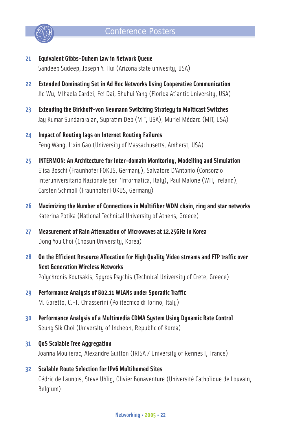

- **21 Equivalent Gibbs-Duhem Law in Network Queue** Sandeep Sudeep, Joseph Y. Hui (Arizona state univesity, USA)
- **22 Extended Dominating Set in Ad Hoc Networks Using Cooperative Communication** Jie Wu, Mihaela Cardei, Fei Dai, Shuhui Yang (Florida Atlantic University, USA)
- **23 Extending the Birkhoff-von Neumann Switching Strategy to Multicast Switches** Jay Kumar Sundararajan, Supratim Deb (MIT, USA), Muriel Médard (MIT, USA)
- **24 Impact of Routing lags on Internet Routing Failures** Feng Wang, Lixin Gao (University of Massachusetts, Amherst, USA)
- **25 INTERMON: An Architecture for Inter-domain Monitoring, Modelling and Simulation** Elisa Boschi (Fraunhofer FOKUS, Germany), Salvatore D'Antonio (Consorzio Interuniversitario Nazionale per l'Informatica, Italy), Paul Malone (WIT, Ireland), Carsten Schmoll (Fraunhofer FOKUS, Germany)
- **26 Maximizing the Number of Connections in Multifiber WDM chain, ring and star networks** Katerina Potika (National Technical University of Athens, Greece)
- **27 Measurement of Rain Attenuation of Microwaves at 12.25GHz in Korea** Dong You Choi (Chosun University, Korea)
- **28 On the Efficient Resource Allocation for High Quality Video streams and FTP traffic over Next Generation Wireless Networks**

Polychronis Koutsakis, Spyros Psychis (Technical University of Crete, Greece)

- **29 Performance Analysis of 802.11 WLANs under Sporadic Traffic** M. Garetto, C.-F. Chiasserini (Politecnico di Torino, Italy)
- **30 Performance Analysis of a Multimedia CDMA System Using Dynamic Rate Control** Seung Sik Choi (University of Incheon, Republic of Korea)
- **31 QoS Scalable Tree Aggregation** Joanna Moulierac, Alexandre Guitton (IRISA / University of Rennes I, France)
- **32 Scalable Route Selection for IPv6 Multihomed Sites** Cédric de Launois, Steve Uhlig, Olivier Bonaventure (Université Catholique de Louvain, Belgium)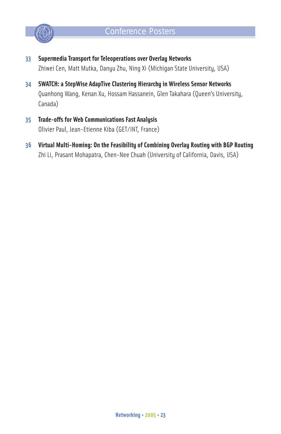

- **33 Supermedia Transport for Teleoperations over Overlay Networks** Zhiwei Cen, Matt Mutka, Danyu Zhu, Ning Xi (Michigan State University, USA)
- **34 SWATCH: a StepWise AdapTive Clustering Hierarchy in Wireless Sensor Networks** Quanhong Wang, Kenan Xu, Hossam Hassanein, Glen Takahara (Queen's University, Canada)
- **35 Trade-offs for Web Communications Fast Analysis** Olivier Paul, Jean-Etienne Kiba (GET/INT, France)
- **36 Virtual Multi-Homing: On the Feasibility of Combining Overlay Routing with BGP Routing** Zhi Li, Prasant Mohapatra, Chen-Nee Chuah (University of California, Davis, USA)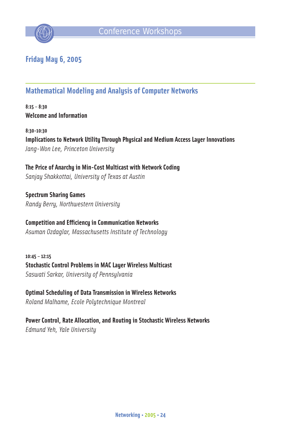

# **Friday May 6, 2005**

# **Mathematical Modeling and Analysis of Computer Networks**

**8:15 – 8:30 Welcome and Information**

**8:30-10:30 Implications to Network Utility Through Physical and Medium Access Layer Innovations** *Jang-Won Lee, Princeton University*

**The Price of Anarchy in Min-Cost Multicast with Network Coding** *Sanjay Shakkottai, University of Texas at Austin*

**Spectrum Sharing Games** *Randy Berry, Northwestern University*

**Competition and Efficiency in Communication Networks** *Asuman Ozdaglar, Massachusetts Institute of Technology*

**10:45 – 12:15 Stochastic Control Problems in MAC Layer Wireless Multicast** *Saswati Sarkar, University of Pennsylvania*

**Optimal Scheduling of Data Transmission in Wireless Networks** *Roland Malhame, Ecole Polytechnique Montreal*

**Power Control, Rate Allocation, and Routing in Stochastic Wireless Networks** *Edmund Yeh, Yale University*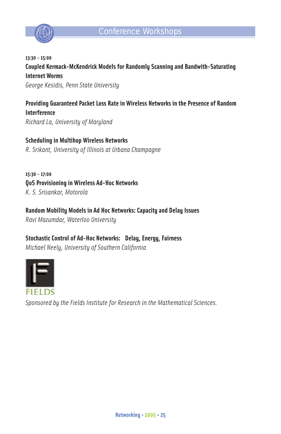

**13:30 – 15:00 Coupled Kermack-McKendrick Models for Randomly Scanning and Bandwith-Saturating Internet Worms** *George Kesidis, Penn State University*

**Providing Guaranteed Packet Loss Rate in Wireless Networks in the Presence of Random Interference** *Richard La, University of Maryland*

**Scheduling in Multihop Wireless Networks** *R. Srikant, University of Illinois at Urbana Champagne*

**15:30 – 17:00 QoS Provisioning in Wireless Ad-Hoc Networks** *K. S. Srisankar, Motorola*

**Random Mobility Models in Ad Hoc Networks: Capacity and Delay Issues** *Ravi Mazumdar, Waterloo University*

**Stochastic Control of Ad-Hoc Networks: Delay, Energy, Fairness** *Michael Neely, University of Southern California*



*Sponsored by the Fields Institute for Research in the Mathematical Sciences.*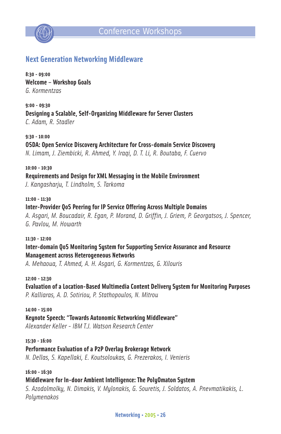

# **Next Generation Networking Middleware**

**8:30 - 09:00 Welcome – Workshop Goals** *G. Kormentzas*

**9:00 - 09:30 Designing a Scalable, Self-Organizing Middleware for Server Clusters** *C. Adam, R. Stadler*

**9:30 - 10:00**

**OSDA: Open Service Discovery Architecture for Cross-domain Service Discovery** *N. Limam, J. Ziembicki, R. Ahmed, Y. Iraqi, D. T. Li, R. Boutaba, F. Cuervo*

**10:00 - 10:30**

**Requirements and Design for XML Messaging in the Mobile Environment**

*J. Kangasharju, T. Lindholm, S. Tarkoma*

#### **11:00 - 11:30**

**Inter-Provider QoS Peering for IP Service Offering Across Multiple Domains** *A. Asgari, M. Boucadair, R. Egan, P. Morand, D. Griffin, J. Griem, P. Georgatsos, J. Spencer, G. Pavlou, M. Howarth* 

**11:30 - 12:00**

#### **Inter-domain QoS Monitoring System for Supporting Service Assurance and Resource Management across Heterogeneous Networks**

*A. Mehaoua, T. Ahmed, A. H. Asgari, G. Kormentzas, G. Xilouris*

**12:00 - 12:30**

**Evaluation of a Location-Based Multimedia Content Delivery System for Monitoring Purposes** *P. Kalliaras, A. D. Sotiriou, P. Stathopoulos, N. Mitrou*

**14:00 - 15:00**

**Keynote Speech: "Towards Autonomic Networking Middleware"**

*Alexander Keller - IBM T.J. Watson Research Center*

**15:30 - 16:00**

**Performance Evaluation of a P2P Overlay Brokerage Network**

*N. Dellas, S. Kapellaki, E. Koutsoloukas, G. Prezerakos, I. Venieris* 

**16:00 - 16:30**

**Middleware for In-door Ambient Intelligence: The PolyOmaton System** *S. Azodolmolky, N. Dimakis, V. Mylonakis, G. Souretis, J. Soldatos, A. Pnevmatikakis, L.*

*Polymenakos*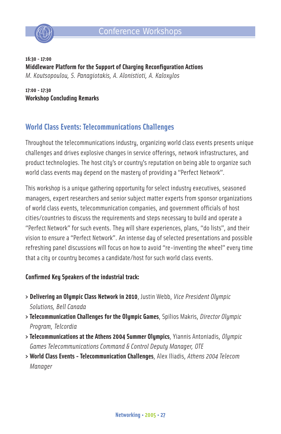

**16:30 - 17:00 Middleware Platform for the Support of Charging Reconfiguration Actions** *M. Koutsopoulou, S. Panagiotakis, A. Alonistioti, A. Kaloxylos* 

**17:00 - 17:30 Workshop Concluding Remarks**

# **World Class Events: Telecommunications Challenges**

Throughout the telecommunications industry, organizing world class events presents unique challenges and drives explosive changes in service offerings, network infrastructures, and product technologies. The host city's or country's reputation on being able to organize such world class events may depend on the mastery of providing a "Perfect Network".

This workshop is a unique gathering opportunity for select industry executives, seasoned managers, expert researchers and senior subject matter experts from sponsor organizations of world class events, telecommunication companies, and government officials of host cities/countries to discuss the requirements and steps necessary to build and operate a "Perfect Network" for such events. They will share experiences, plans, "do lists", and their vision to ensure a "Perfect Network". An intense day of selected presentations and possible refreshing panel discussions will focus on how to avoid "re-inventing the wheel" every time that a city or country becomes a candidate/host for such world class events.

#### **Confirmed Key Speakers of the industrial track:**

- **> Delivering an Olympic Class Network in 2010**, Justin Webb, *Vice President Olympic Solutions, Bell Canada*
- **> Telecommunication Challenges for the Olympic Games**, Spilios Makris, *Director Olympic Program, Telcordia*
- **> Telecommunications at the Athens 2004 Summer Olympics**, Yiannis Antoniadis, *Olympic Games Telecommunications Command & Control Deputy Manager, OTE*
- **> World Class Events Telecommunication Challenges**, Alex Iliadis, *Athens 2004 Telecom Manager*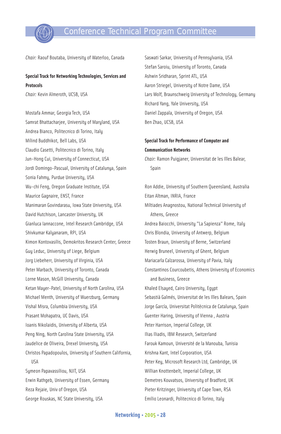

*Chair:* Raouf Boutaba, University of Waterloo, Canada

#### **Special Track for Networking Technologies, Services and Protocols**

*Chair:* Kevin Almeroth, UCSB, USA

Mostafa Ammar, Georgia Tech, USA Samrat Bhattacharjee, University of Maryland, USA Andrea Bianco, Politecnico di Torino, Italy Milind Buddhikot, Bell Labs, USA Claudio Casetti, Politecnico di Torino, Italy Jun-Hong Cui, University of Connecticut, USA Jordi Domingo-Pascual, University of Catalunya, Spain Sonia Fahmy, Purdue University, USA Wu-chi Feng, Oregon Graduate Institute, USA Maurice Gagnaire, ENST, France Manimaran Govindarasu, Iowa State University, USA David Hutchison, Lancaster University, UK Gianluca Iannaccone, Intel Research Cambridge, USA Shivkumar Kaluanaram, RPI, USA Kimon Kontovasilis, Demokritos Research Center, Greece Guy Leduc, University of Liege, Belgium Jorg Liebeherr, University of Virginia, USA Peter Marbach, University of Toronto, Canada Lorne Mason, McGill University, Canada Ketan Mayer-Patel, University of North Carolina, USA Michael Menth, University of Wuerzburg, Germany Vishal Misra, Columbia University, USA Prasant Mohapatra, UC Davis, USA Ioanis Nikolaidis, University of Alberta, USA Peng Ning, North Carolina State University, USA Jaudelice de Oliveira, Drexel University, USA Christos Papadopoulos, University of Southern California, USA Symeon Papavassiliou, NJIT, USA Erwin Rathgeb, University of Essen, Germany Reza Rejaie, Univ of Oregon, USA

George Rouskas, NC State University, USA

Saswati Sarkar, Universitu of Pennsulvania, USA Stefan Saroiu, University of Toronto, Canada Ashwin Sridharan, Sprint ATL, USA Aaron Striegel, University of Notre Dame, USA Lars Wolf, Braunschweig University of Technology, Germany Richard Yang, Yale University, USA Daniel Zappala, University of Oregon, USA Ben Zhao, UCSB, USA

#### **Special Track for Performance of Computer and Communication Networks** *Chair:* Ramon Puigjaner, Universitat de les Illes Balear,

Spain

Ron Addie, University of Southern Queensland, Australia Eitan Altman, INRIA, France Miltiades Anagnostou, National Technical University of Athens, Greece Andrea Baiocchi, University "La Sapienza" Rome, Italy Chris Blondia, University of Antwerp, Belgium Tosten Braun, University of Berne, Switzerland Herwig Bruneel, University of Ghent, Belgium Mariacarla Calzarossa, University of Pavia, Italy Constantinos Courcoubetis, Athens University of Economics and Business, Greece Khaled Elsayed, Cairo University, Egypt Sebastià Galmés, Universitat de les Illes Balears, Spain Jorge García, Universitat Politècnica de Catalunya, Spain Guenter Haring, University of Vienna , Austria Peter Harrison, Imperial College, UK Ilias Iliadis, IBM Research, Switzerland Farouk Kamoun, Université de la Manouba, Tunisia Krishna Kant, Intel Corporation, USA Peter Key, Microsoft Research Ltd, Cambridge, UK Willian Knottenbelt, Imperial College, UK Demetres Kouvatsos, University of Bradford, UK Pieter Kritzinger, University of Cape Town, RSA Emilio Leonardi, Politecnico di Torino, Italy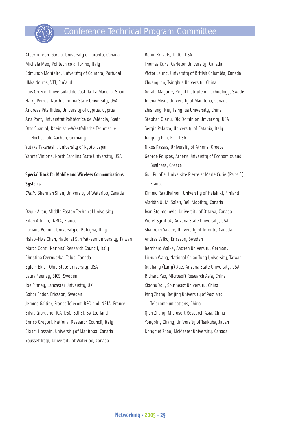# Conference Technical Program Committee



Alberto Leon-Garcia, University of Toronto, Canada Michela Meo, Politecnico di Torino, Italy Edmundo Monteiro, University of Coimbra, Portugal Ilkka Norros, VTT, Finland Luis Orozco, Universidad de Castilla-La Mancha, Spain Harry Perros, North Carolina State University, USA Andreas Pitsillides, University of Cyprus, Cyprus Ana Pont, Universitat Politècnica de València, Spain Otto Spaniol, Rheinisch-Westfälische Technische Hochschule Aachen, Germany Yutaka Takahashi, University of Kyoto, Japan Yannis Viniotis, North Carolina State University, USA

#### **Special Track for Mobile and Wireless Communications Systems**

*Chair:* Sherman Shen, University of Waterloo, Canada

Ozgur Akan, Middle Easten Technical University Eitan Altman, INRIA, France Luciano Bononi, University of Bologna, Italy Hsiao-Hwa Chen, National Sun Yat-sen University, Taiwan Marco Conti, National Research Council, Italy Christina Czernuszka, Telus, Canada Eylem Ekici, Ohio State University, USA Laura Feeney, SICS, Sweden Joe Finney, Lancaster University, UK Gabor Fodor, Ericsson, Sweden Jerome Galtier, France Telecom R&D and INRIA, France Silvia Giordano, ICA-DSC-SUPSI, Switzerland Enrico Gregori, National Research Council, Italy Ekram Hossain, University of Manitoba, Canada Youssef Iraqi, University of Waterloo, Canada

Robin Kravets, UIUC , USA Thomas Kunz, Carleton University, Canada Victor Leung, University of British Columbia, Canada Chuang Lin, Tsinghua University, China Gerald Maguire, Royal Institute of Technology, Sweden Jelena Misic, University of Manitoba, Canada Zhisheng, Niu, Tsinghua University, China Stephan Olariu, Old Dominion University, USA Sergio Palazzo, University of Catania, Italy Jianping Pan, NTT, USA Nikos Passas, University of Athens, Greece George Polyzos, Athens University of Economics and Business, Greece Guy Pujolle, Universite Pierre et Marie Curie (Paris 6), France Kimmo Raatikainen, University of Helsinki, Finland Aladdin O. M. Saleh, Bell Mobility, Canada Ivan Stojmenovic, University of Ottawa, Canada Violet Syrotiuk, Arizona State University, USA Shahrokh Valaee, University of Toronto, Canada Andras Valko, Ericsson, Sweden Bernhard Walke, Aachen University, Germany Lichun Wang, National Chiao Tung University, Taiwan Gualiang (Larry) Xue, Arizona State University, USA Richard Yao, Microsoft Research Asia, China Xiaohu You, Southeast University, China Ping Zhang, Beijing University of Post and Telecommunications, China Qian Zhang, Microsoft Research Asia, China Yongbing Zhang, University of Tsukuba, Japan Dongmei Zhao, McMaster University, Canada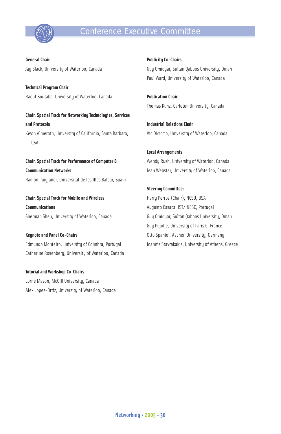

# Conference Executive Committee

**General Chair** Jay Black, University of Waterloo, Canada

**Technical Program Chair** Raouf Boutaba, University of Waterloo, Canada

**Chair, Special Track for Networking Technologies, Services and Protocols** Kevin Almeroth, University of California, Santa Barbara, USA

**Chair, Special Track for Performance of Computer & Communication Networks** Ramon Puigjaner, Universitat de les Illes Balear, Spain

**Chair, Special Track for Mobile and Wireless Communications** Sherman Shen, University of Waterloo, Canada

**Keynote and Panel Co-Chairs** Edmundo Monteiro, University of Coimbra, Portugal Catherine Rosenberg, University of Waterloo, Canada

**Tutorial and Workshop Co-Chairs** Lorne Mason, McGill University, Canada Alex Lopez-Ortiz, University of Waterloo, Canada **Publicity Co-Chairs** Guy Omidyar, Sultan Qaboos University, Oman Paul Ward, University of Waterloo, Canada

**Publication Chair** Thomas Kunz, Carleton University, Canada

**Industrial Relations Chair** Vic Diciccio, University of Waterloo, Canada

**Local Arrangements** Wendy Rush, University of Waterloo, Canada Jean Webster, University of Waterloo, Canada

**Steering Committee:** Harry Perros (Chair), NCSU, USA Augusto Casaca, IST/INESC, Portugal Guy Omidyar, Sultan Qaboos University, Oman Guy Pujolle, University of Paris 6, France Otto Spaniol, Aachen University, Germany Ioannis Stavrakakis, University of Athens, Greece